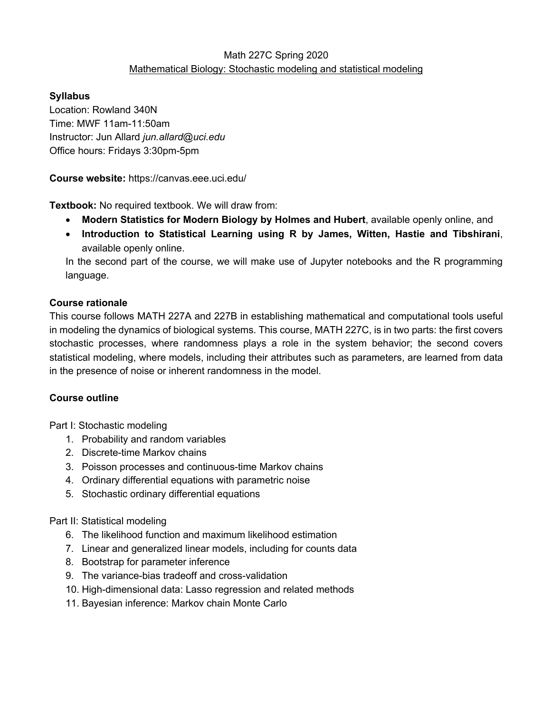## Math 227C Spring 2020 Mathematical Biology: Stochastic modeling and statistical modeling

## **Syllabus**

Location: Rowland 340N Time: MWF 11am-11:50am Instructor: Jun Allard *jun.allard@uci.edu* Office hours: Fridays 3:30pm-5pm

**Course website:** https://canvas.eee.uci.edu/

**Textbook:** No required textbook. We will draw from:

- **Modern Statistics for Modern Biology by Holmes and Hubert**, available openly online, and
- **Introduction to Statistical Learning using R by James, Witten, Hastie and Tibshirani**, available openly online.

In the second part of the course, we will make use of Jupyter notebooks and the R programming language.

## **Course rationale**

This course follows MATH 227A and 227B in establishing mathematical and computational tools useful in modeling the dynamics of biological systems. This course, MATH 227C, is in two parts: the first covers stochastic processes, where randomness plays a role in the system behavior; the second covers statistical modeling, where models, including their attributes such as parameters, are learned from data in the presence of noise or inherent randomness in the model.

## **Course outline**

Part I: Stochastic modeling

- 1. Probability and random variables
- 2. Discrete-time Markov chains
- 3. Poisson processes and continuous-time Markov chains
- 4. Ordinary differential equations with parametric noise
- 5. Stochastic ordinary differential equations

Part II: Statistical modeling

- 6. The likelihood function and maximum likelihood estimation
- 7. Linear and generalized linear models, including for counts data
- 8. Bootstrap for parameter inference
- 9. The variance-bias tradeoff and cross-validation
- 10. High-dimensional data: Lasso regression and related methods
- 11. Bayesian inference: Markov chain Monte Carlo